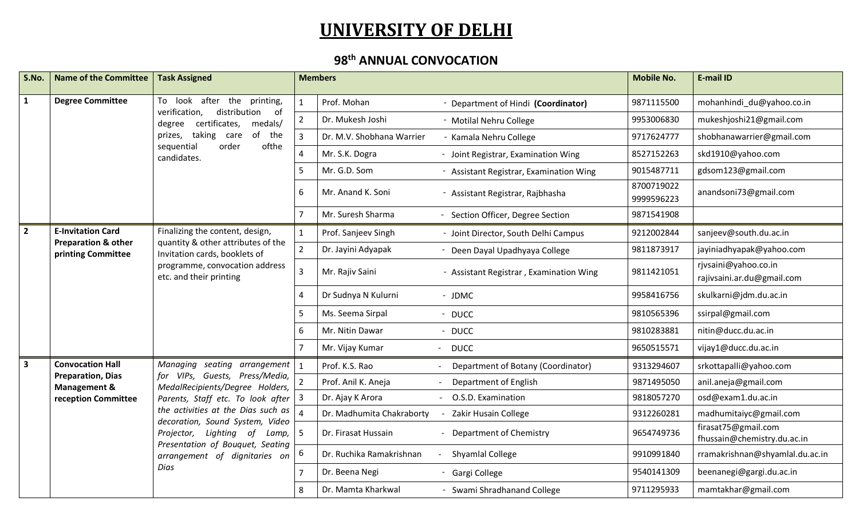## **UNIVERSITY OF DELHI**

## **98th ANNUAL CONVOCATION**

| S.No.          | <b>Name of the Committee</b>                         | <b>Task Assigned</b>                                                                                                                                                          |                       | <b>Members</b>                   |                                                  | <b>Mobile No.</b>           | E-mail ID                                          |                     |                        |
|----------------|------------------------------------------------------|-------------------------------------------------------------------------------------------------------------------------------------------------------------------------------|-----------------------|----------------------------------|--------------------------------------------------|-----------------------------|----------------------------------------------------|---------------------|------------------------|
| $\mathbf{1}$   | <b>Degree Committee</b>                              | To look after the printing,<br>verification,<br>distribution<br>of<br>degree certificates,<br>medals/                                                                         | $\mathbf{1}$          | Prof. Mohan                      | - Department of Hindi (Coordinator)              | 9871115500                  | mohanhindi_du@yahoo.co.in                          |                     |                        |
|                |                                                      |                                                                                                                                                                               | $\overline{2}$        | Dr. Mukesh Joshi                 | - Motilal Nehru College                          | 9953006830                  | mukeshjoshi21@gmail.com                            |                     |                        |
|                |                                                      | prizes, taking care<br>of the                                                                                                                                                 | 3                     | Dr. M.V. Shobhana Warrier        | - Kamala Nehru College                           | 9717624777                  | shobhanawarrier@gmail.com                          |                     |                        |
|                |                                                      | sequential<br>order<br>ofthe<br>candidates.                                                                                                                                   | $\boldsymbol{\Delta}$ | Mr. S.K. Dogra                   | - Joint Registrar, Examination Wing              | 8527152263                  | skd1910@yahoo.com                                  |                     |                        |
|                |                                                      |                                                                                                                                                                               | 5                     | Mr. G.D. Som                     | - Assistant Registrar, Examination Wing          | 9015487711                  | gdsom123@gmail.com                                 |                     |                        |
|                |                                                      | 6                                                                                                                                                                             | Mr. Anand K. Soni     | - Assistant Registrar, Rajbhasha | 8700719022<br>9999596223                         | anandsoni73@gmail.com       |                                                    |                     |                        |
|                |                                                      |                                                                                                                                                                               | $\overline{7}$        | Mr. Suresh Sharma                | - Section Officer, Degree Section                | 9871541908                  |                                                    |                     |                        |
| $\overline{2}$ | <b>E-Invitation Card</b>                             | Finalizing the content, design,                                                                                                                                               | $\mathbf{1}$          | Prof. Sanjeev Singh              | - Joint Director, South Delhi Campus             | 9212002844                  | sanjeev@south.du.ac.in                             |                     |                        |
|                | <b>Preparation &amp; other</b><br>printing Committee | quantity & other attributes of the<br>Invitation cards, booklets of<br>programme, convocation address<br>etc. and their printing                                              | $\overline{2}$        | Dr. Jayini Adyapak               | - Deen Dayal Upadhyaya College                   | 9811873917                  | jayiniadhyapak@yahoo.com                           |                     |                        |
|                |                                                      |                                                                                                                                                                               | 3                     | Mr. Rajiv Saini                  | - Assistant Registrar, Examination Wing          | 9811421051                  | rjvsaini@yahoo.co.in<br>rajivsaini.ar.du@gmail.com |                     |                        |
|                |                                                      |                                                                                                                                                                               |                       |                                  | $\Delta$                                         | Dr Sudnya N Kulurni         | - JDMC                                             | 9958416756          | skulkarni@jdm.du.ac.in |
|                |                                                      |                                                                                                                                                                               | 5                     | Ms. Seema Sirpal                 | - DUCC                                           | 9810565396                  | ssirpal@gmail.com                                  |                     |                        |
|                |                                                      | 6                                                                                                                                                                             | Mr. Nitin Dawar       | - DUCC                           | 9810283881                                       | nitin@ducc.du.ac.in         |                                                    |                     |                        |
|                |                                                      |                                                                                                                                                                               |                       | Mr. Vijay Kumar                  | - DUCC                                           | 9650515571                  | vijay1@ducc.du.ac.in                               |                     |                        |
| 3              | <b>Convocation Hall</b>                              | Managing seating arrangement $\vert$ 1                                                                                                                                        |                       | Prof. K.S. Rao                   | Department of Botany (Coordinator)               | 9313294607                  | srkottapalli@yahoo.com                             |                     |                        |
|                | <b>Preparation, Dias</b><br><b>Management &amp;</b>  | for VIPs, Guests, Press/Media,<br>MedalRecipients/Degree Holders,                                                                                                             |                       | Prof. Anil K. Aneja              | Department of English                            | 9871495050                  | anil.aneja@gmail.com                               |                     |                        |
|                | reception Committee                                  | Parents, Staff etc. To look after                                                                                                                                             | 3                     | Dr. Ajay K Arora                 | - O.S.D. Examination                             | 9818057270                  | osd@exam1.du.ac.in                                 |                     |                        |
|                |                                                      | the activities at the Dias such as<br>decoration, Sound System, Video<br>Projector, Lighting of<br>Lamp,<br>Presentation of Bouquet, Seating<br>arrangement of dignitaries on |                       | Dr. Madhumita Chakraborty        | Zakir Husain College<br>$\overline{\phantom{a}}$ | 9312260281                  | madhumitaiyc@gmail.com                             |                     |                        |
|                |                                                      |                                                                                                                                                                               | .5                    | Dr. Firasat Hussain              | - Department of Chemistry                        | 9654749736                  | firasat75@gmail.com<br>fhussain@chemistry.du.ac.in |                     |                        |
|                |                                                      |                                                                                                                                                                               | 6                     | Dr. Ruchika Ramakrishnan         | Shyamlal College                                 | 9910991840                  | rramakrishnan@shyamlal.du.ac.in                    |                     |                        |
|                |                                                      | Dias                                                                                                                                                                          |                       | Dr. Beena Negi                   | - Gargi College                                  | 9540141309                  | beenanegi@gargi.du.ac.in                           |                     |                        |
|                |                                                      |                                                                                                                                                                               |                       | 8                                | Dr. Mamta Kharkwal                               | - Swami Shradhanand College | 9711295933                                         | mamtakhar@gmail.com |                        |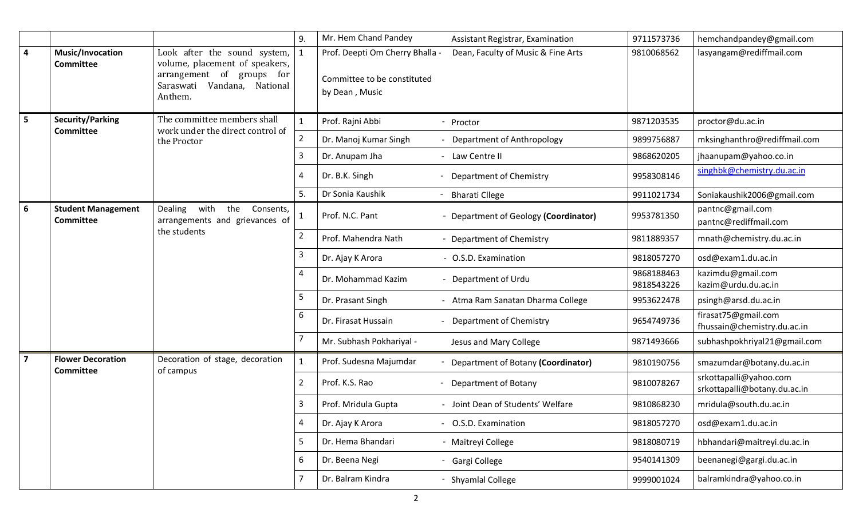|   |                                               |                                                                                                                                                | 9.                                               | Mr. Hem Chand Pandey<br>Assistant Registrar, Examination                                                               | 9711573736               | hemchandpandey@gmail.com                               |
|---|-----------------------------------------------|------------------------------------------------------------------------------------------------------------------------------------------------|--------------------------------------------------|------------------------------------------------------------------------------------------------------------------------|--------------------------|--------------------------------------------------------|
| 4 | Music/Invocation<br><b>Committee</b>          | Look after the sound system,<br>volume, placement of speakers,<br>arrangement<br>of<br>groups for<br>Vandana, National<br>Saraswati<br>Anthem. |                                                  | Dean, Faculty of Music & Fine Arts<br>Prof. Deepti Om Cherry Bhalla -<br>Committee to be constituted<br>by Dean, Music | 9810068562               | lasyangam@rediffmail.com                               |
| 5 | <b>Security/Parking</b><br><b>Committee</b>   | The committee members shall<br>work under the direct control of                                                                                |                                                  | Prof. Rajni Abbi<br>- Proctor                                                                                          | 9871203535               | proctor@du.ac.in                                       |
|   |                                               | the Proctor                                                                                                                                    | 2                                                | - Department of Anthropology<br>Dr. Manoj Kumar Singh                                                                  | 9899756887               | mksinghanthro@rediffmail.com                           |
|   |                                               |                                                                                                                                                | $\overline{3}$                                   | Dr. Anupam Jha<br>- Law Centre II                                                                                      | 9868620205               | jhaanupam@yahoo.co.in                                  |
|   |                                               |                                                                                                                                                | 4                                                | Dr. B.K. Singh<br>Department of Chemistry                                                                              | 9958308146               | singhbk@chemistry.du.ac.in                             |
|   |                                               |                                                                                                                                                | 5.                                               | Dr Sonia Kaushik<br><b>Bharati Cllege</b>                                                                              | 9911021734               | Soniakaushik2006@gmail.com                             |
| 6 | <b>Student Management</b><br><b>Committee</b> | Dealing<br>with<br>the<br>Consents,<br>arrangements and grievances of                                                                          |                                                  | Prof. N.C. Pant<br>Department of Geology (Coordinator)                                                                 | 9953781350               | pantnc@gmail.com<br>pantnc@rediffmail.com              |
|   | the students                                  | $\overline{2}$                                                                                                                                 | Prof. Mahendra Nath<br>- Department of Chemistry | 9811889357                                                                                                             | mnath@chemistry.du.ac.in |                                                        |
|   |                                               |                                                                                                                                                |                                                  | Dr. Ajay K Arora<br>- O.S.D. Examination                                                                               | 9818057270               | osd@exam1.du.ac.in                                     |
|   |                                               |                                                                                                                                                | 4                                                | Dr. Mohammad Kazim<br>- Department of Urdu                                                                             | 9868188463<br>9818543226 | kazimdu@gmail.com<br>kazim@urdu.du.ac.in               |
|   |                                               |                                                                                                                                                | 5                                                | - Atma Ram Sanatan Dharma College<br>Dr. Prasant Singh                                                                 | 9953622478               | psingh@arsd.du.ac.in                                   |
|   |                                               |                                                                                                                                                | 6                                                | Dr. Firasat Hussain<br>- Department of Chemistry                                                                       | 9654749736               | firasat75@gmail.com<br>fhussain@chemistry.du.ac.in     |
|   |                                               |                                                                                                                                                | 7                                                | Mr. Subhash Pokhariyal -<br>Jesus and Mary College                                                                     | 9871493666               | subhashpokhriyal21@gmail.com                           |
| 7 | <b>Flower Decoration</b><br><b>Committee</b>  | Decoration of stage, decoration<br>of campus                                                                                                   | $\mathbf{1}$                                     | Prof. Sudesna Majumdar<br>Department of Botany (Coordinator)                                                           | 9810190756               | smazumdar@botany.du.ac.in                              |
|   |                                               |                                                                                                                                                | $\overline{2}$                                   | Prof. K.S. Rao<br><b>Department of Botany</b><br>$\sim$                                                                | 9810078267               | srkottapalli@yahoo.com<br>srkottapalli@botany.du.ac.in |
|   |                                               |                                                                                                                                                | 3                                                | - Joint Dean of Students' Welfare<br>Prof. Mridula Gupta                                                               | 9810868230               | mridula@south.du.ac.in                                 |
|   |                                               |                                                                                                                                                | 4                                                | Dr. Ajay K Arora<br>- O.S.D. Examination                                                                               | 9818057270               | osd@exam1.du.ac.in                                     |
|   |                                               |                                                                                                                                                | 5                                                | Dr. Hema Bhandari<br>- Maitreyi College                                                                                | 9818080719               | hbhandari@maitreyi.du.ac.in                            |
|   |                                               |                                                                                                                                                | 6                                                | Dr. Beena Negi<br>- Gargi College                                                                                      | 9540141309               | beenanegi@gargi.du.ac.in                               |
|   |                                               |                                                                                                                                                | $\overline{7}$                                   | Dr. Balram Kindra<br>- Shyamlal College                                                                                | 9999001024               | balramkindra@yahoo.co.in                               |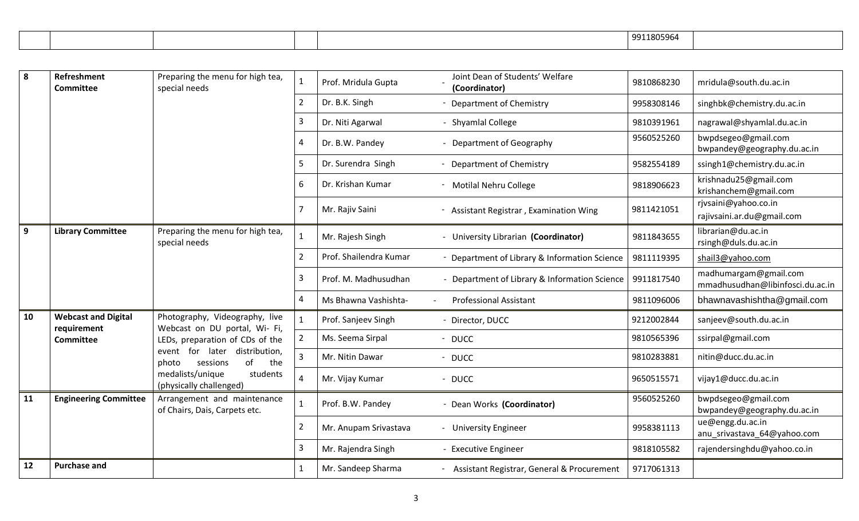|  |  | 9911805964 |  |
|--|--|------------|--|
|  |  |            |  |

| 8  | <b>Refreshment</b><br><b>Committee</b>    | Preparing the menu for high tea,<br>special needs                  | $\mathbf{1}$   | Prof. Mridula Gupta    | Joint Dean of Students' Welfare<br>(Coordinator) | 9810868230 | mridula@south.du.ac.in                                    |
|----|-------------------------------------------|--------------------------------------------------------------------|----------------|------------------------|--------------------------------------------------|------------|-----------------------------------------------------------|
|    |                                           |                                                                    | $\overline{2}$ | Dr. B.K. Singh         | - Department of Chemistry                        | 9958308146 | singhbk@chemistry.du.ac.in                                |
|    |                                           |                                                                    | 3              | Dr. Niti Agarwal       | - Shyamlal College                               | 9810391961 | nagrawal@shyamlal.du.ac.in                                |
|    |                                           |                                                                    | $\overline{4}$ | Dr. B.W. Pandey        | - Department of Geography                        | 9560525260 | bwpdsegeo@gmail.com<br>bwpandey@geography.du.ac.in        |
|    |                                           |                                                                    | 5              | Dr. Surendra Singh     | - Department of Chemistry                        | 9582554189 | ssingh1@chemistry.du.ac.in                                |
|    |                                           |                                                                    | 6              | Dr. Krishan Kumar      | - Motilal Nehru College                          | 9818906623 | krishnadu25@gmail.com<br>krishanchem@gmail.com            |
|    |                                           |                                                                    |                | Mr. Rajiv Saini        | - Assistant Registrar, Examination Wing          | 9811421051 | rjvsaini@yahoo.co.in<br>rajivsaini.ar.du@gmail.com        |
| 9  | <b>Library Committee</b>                  | Preparing the menu for high tea,<br>special needs                  | 1              | Mr. Rajesh Singh       | - University Librarian (Coordinator)             | 9811843655 | librarian@du.ac.in<br>rsingh@duls.du.ac.in                |
|    |                                           |                                                                    | $\overline{2}$ | Prof. Shailendra Kumar | Department of Library & Information Science      | 9811119395 | shail3@yahoo.com                                          |
|    |                                           |                                                                    | 3              | Prof. M. Madhusudhan   | - Department of Library & Information Science    | 9911817540 | madhumargam@gmail.com<br>mmadhusudhan@libinfosci.du.ac.in |
|    |                                           |                                                                    | $\overline{4}$ | Ms Bhawna Vashishta-   | <b>Professional Assistant</b>                    | 9811096006 | bhawnavashishtha@gmail.com                                |
| 10 | <b>Webcast and Digital</b><br>requirement | Photography, Videography, live<br>Webcast on DU portal, Wi- Fi,    |                | Prof. Sanjeev Singh    | - Director, DUCC                                 | 9212002844 | sanjeev@south.du.ac.in                                    |
|    | <b>Committee</b>                          | LEDs, preparation of CDs of the                                    | $\mathcal{P}$  | Ms. Seema Sirpal       | - DUCC                                           | 9810565396 | ssirpal@gmail.com                                         |
|    |                                           | event for<br>later distribution,<br>of<br>sessions<br>the<br>photo | 3              | Mr. Nitin Dawar        | - DUCC                                           | 9810283881 | nitin@ducc.du.ac.in                                       |
|    |                                           | medalists/unique<br>students<br>(physically challenged)            | Δ              | Mr. Vijay Kumar        | - DUCC                                           | 9650515571 | vijay1@ducc.du.ac.in                                      |
| 11 | <b>Engineering Committee</b>              | Arrangement and maintenance<br>of Chairs, Dais, Carpets etc.       | $\mathbf{1}$   | Prof. B.W. Pandey      | - Dean Works (Coordinator)                       | 9560525260 | bwpdsegeo@gmail.com<br>bwpandey@geography.du.ac.in        |
|    |                                           |                                                                    | $\overline{2}$ | Mr. Anupam Srivastava  | - University Engineer                            | 9958381113 | ue@engg.du.ac.in<br>anu_srivastava_64@yahoo.com           |
|    |                                           |                                                                    | 3              | Mr. Rajendra Singh     | - Executive Engineer                             | 9818105582 | rajendersinghdu@yahoo.co.in                               |
| 12 | <b>Purchase and</b>                       |                                                                    | 1              | Mr. Sandeep Sharma     | - Assistant Registrar, General & Procurement     | 9717061313 |                                                           |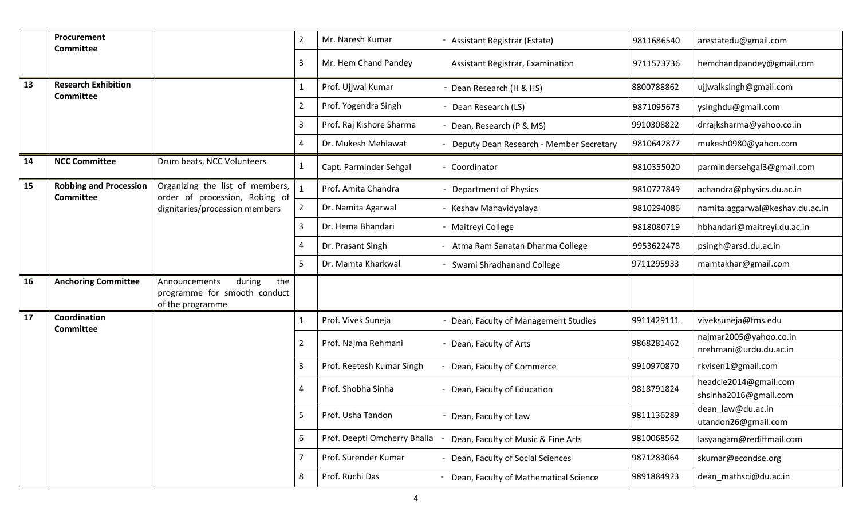|    | Procurement<br><b>Committee</b>                   |                                                                                    | 2              | Mr. Naresh Kumar             | - Assistant Registrar (Estate)          | 9811686540 | arestatedu@gmail.com                             |
|----|---------------------------------------------------|------------------------------------------------------------------------------------|----------------|------------------------------|-----------------------------------------|------------|--------------------------------------------------|
|    |                                                   |                                                                                    | 3              | Mr. Hem Chand Pandey         | Assistant Registrar, Examination        | 9711573736 | hemchandpandey@gmail.com                         |
| 13 | <b>Research Exhibition</b><br><b>Committee</b>    |                                                                                    | 1              | Prof. Ujjwal Kumar           | - Dean Research (H & HS)                | 8800788862 | ujjwalksingh@gmail.com                           |
|    |                                                   |                                                                                    | 2              | Prof. Yogendra Singh         | - Dean Research (LS)                    | 9871095673 | ysinghdu@gmail.com                               |
|    |                                                   |                                                                                    | 3              | Prof. Raj Kishore Sharma     | - Dean, Research (P & MS)               | 9910308822 | drrajksharma@yahoo.co.in                         |
|    |                                                   |                                                                                    | 4              | Dr. Mukesh Mehlawat          | Deputy Dean Research - Member Secretary | 9810642877 | mukesh0980@yahoo.com                             |
| 14 | <b>NCC Committee</b>                              | Drum beats, NCC Volunteers                                                         | 1              | Capt. Parminder Sehgal       | - Coordinator                           | 9810355020 | parmindersehgal3@gmail.com                       |
| 15 | <b>Robbing and Procession</b><br><b>Committee</b> | Organizing the list of members,<br>order of procession, Robing of                  |                | Prof. Amita Chandra          | <b>Department of Physics</b>            | 9810727849 | achandra@physics.du.ac.in                        |
|    |                                                   | dignitaries/procession members                                                     | 2              | Dr. Namita Agarwal           | - Keshav Mahavidyalaya                  | 9810294086 | namita.aggarwal@keshav.du.ac.in                  |
|    |                                                   |                                                                                    | 3              | Dr. Hema Bhandari            | - Maitreyi College                      | 9818080719 | hbhandari@maitreyi.du.ac.in                      |
|    |                                                   |                                                                                    | 4              | Dr. Prasant Singh            | - Atma Ram Sanatan Dharma College       | 9953622478 | psingh@arsd.du.ac.in                             |
|    |                                                   |                                                                                    | 5              | Dr. Mamta Kharkwal           | - Swami Shradhanand College             | 9711295933 | mamtakhar@gmail.com                              |
| 16 | <b>Anchoring Committee</b>                        | during<br>the<br>Announcements<br>programme for smooth conduct<br>of the programme |                |                              |                                         |            |                                                  |
| 17 | Coordination<br><b>Committee</b>                  |                                                                                    |                | Prof. Vivek Suneja           | - Dean, Faculty of Management Studies   | 9911429111 | viveksuneja@fms.edu                              |
|    |                                                   |                                                                                    | $\overline{2}$ | Prof. Najma Rehmani          | - Dean, Faculty of Arts                 | 9868281462 | najmar2005@yahoo.co.in<br>nrehmani@urdu.du.ac.in |
|    |                                                   |                                                                                    | 3              | Prof. Reetesh Kumar Singh    | Dean, Faculty of Commerce               | 9910970870 | rkvisen1@gmail.com                               |
|    |                                                   |                                                                                    | 4              | Prof. Shobha Sinha           | Dean, Faculty of Education              | 9818791824 | headcie2014@gmail.com<br>shsinha2016@gmail.com   |
|    |                                                   |                                                                                    | 5              | Prof. Usha Tandon            | - Dean, Faculty of Law                  | 9811136289 | dean law@du.ac.in<br>utandon26@gmail.com         |
|    |                                                   |                                                                                    | 6              | Prof. Deepti Omcherry Bhalla | Dean, Faculty of Music & Fine Arts      | 9810068562 | lasyangam@rediffmail.com                         |
|    |                                                   |                                                                                    |                | Prof. Surender Kumar         | - Dean, Faculty of Social Sciences      | 9871283064 | skumar@econdse.org                               |
|    |                                                   |                                                                                    | 8              | Prof. Ruchi Das              | - Dean, Faculty of Mathematical Science | 9891884923 | dean_mathsci@du.ac.in                            |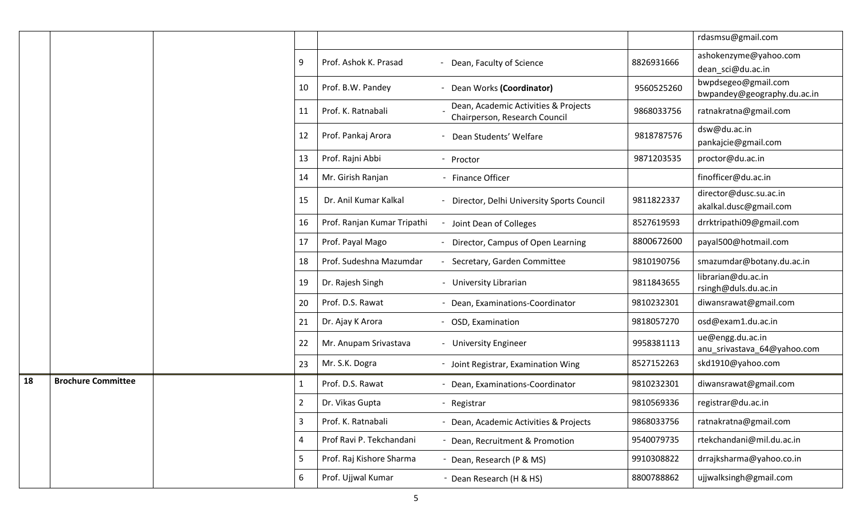|    |                           |  |                |                             |                                                                       |            | rdasmsu@gmail.com                                  |
|----|---------------------------|--|----------------|-----------------------------|-----------------------------------------------------------------------|------------|----------------------------------------------------|
|    |                           |  | 9              | Prof. Ashok K. Prasad       | - Dean, Faculty of Science                                            | 8826931666 | ashokenzyme@yahoo.com<br>dean_sci@du.ac.in         |
|    |                           |  | 10             | Prof. B.W. Pandey           | - Dean Works (Coordinator)                                            | 9560525260 | bwpdsegeo@gmail.com<br>bwpandey@geography.du.ac.in |
|    |                           |  | 11             | Prof. K. Ratnabali          | Dean, Academic Activities & Projects<br>Chairperson, Research Council | 9868033756 | ratnakratna@gmail.com                              |
|    |                           |  | 12             | Prof. Pankaj Arora          | Dean Students' Welfare                                                | 9818787576 | dsw@du.ac.in<br>pankajcie@gmail.com                |
|    |                           |  | 13             | Prof. Rajni Abbi            | - Proctor                                                             | 9871203535 | proctor@du.ac.in                                   |
|    |                           |  | 14             | Mr. Girish Ranjan           | - Finance Officer                                                     |            | finofficer@du.ac.in                                |
|    |                           |  | 15             | Dr. Anil Kumar Kalkal       | - Director, Delhi University Sports Council                           | 9811822337 | director@dusc.su.ac.in<br>akalkal.dusc@gmail.com   |
|    |                           |  | 16             | Prof. Ranjan Kumar Tripathi | Joint Dean of Colleges                                                | 8527619593 | drrktripathi09@gmail.com                           |
|    |                           |  | 17             | Prof. Payal Mago            | - Director, Campus of Open Learning                                   | 8800672600 | payal500@hotmail.com                               |
|    |                           |  | 18             | Prof. Sudeshna Mazumdar     | Secretary, Garden Committee                                           | 9810190756 | smazumdar@botany.du.ac.in                          |
|    |                           |  | 19             | Dr. Rajesh Singh            | - University Librarian                                                | 9811843655 | librarian@du.ac.in<br>rsingh@duls.du.ac.in         |
|    |                           |  | 20             | Prof. D.S. Rawat            | - Dean, Examinations-Coordinator                                      | 9810232301 | diwansrawat@gmail.com                              |
|    |                           |  | 21             | Dr. Ajay K Arora            | - OSD, Examination                                                    | 9818057270 | osd@exam1.du.ac.in                                 |
|    |                           |  | 22             | Mr. Anupam Srivastava       | - University Engineer                                                 | 9958381113 | ue@engg.du.ac.in<br>anu_srivastava_64@yahoo.com    |
|    |                           |  | 23             | Mr. S.K. Dogra              | - Joint Registrar, Examination Wing                                   | 8527152263 | skd1910@yahoo.com                                  |
| 18 | <b>Brochure Committee</b> |  | 1              | Prof. D.S. Rawat            | Dean, Examinations-Coordinator                                        | 9810232301 | diwansrawat@gmail.com                              |
|    |                           |  | $\overline{2}$ | Dr. Vikas Gupta             | - Registrar                                                           | 9810569336 | registrar@du.ac.in                                 |
|    |                           |  | 3              | Prof. K. Ratnabali          | - Dean, Academic Activities & Projects                                | 9868033756 | ratnakratna@gmail.com                              |
|    |                           |  | 4              | Prof Ravi P. Tekchandani    | - Dean, Recruitment & Promotion                                       | 9540079735 | rtekchandani@mil.du.ac.in                          |
|    |                           |  | 5              | Prof. Raj Kishore Sharma    | - Dean, Research (P & MS)                                             | 9910308822 | drrajksharma@yahoo.co.in                           |
|    |                           |  | 6              | Prof. Ujjwal Kumar          | - Dean Research (H & HS)                                              | 8800788862 | ujjwalksingh@gmail.com                             |